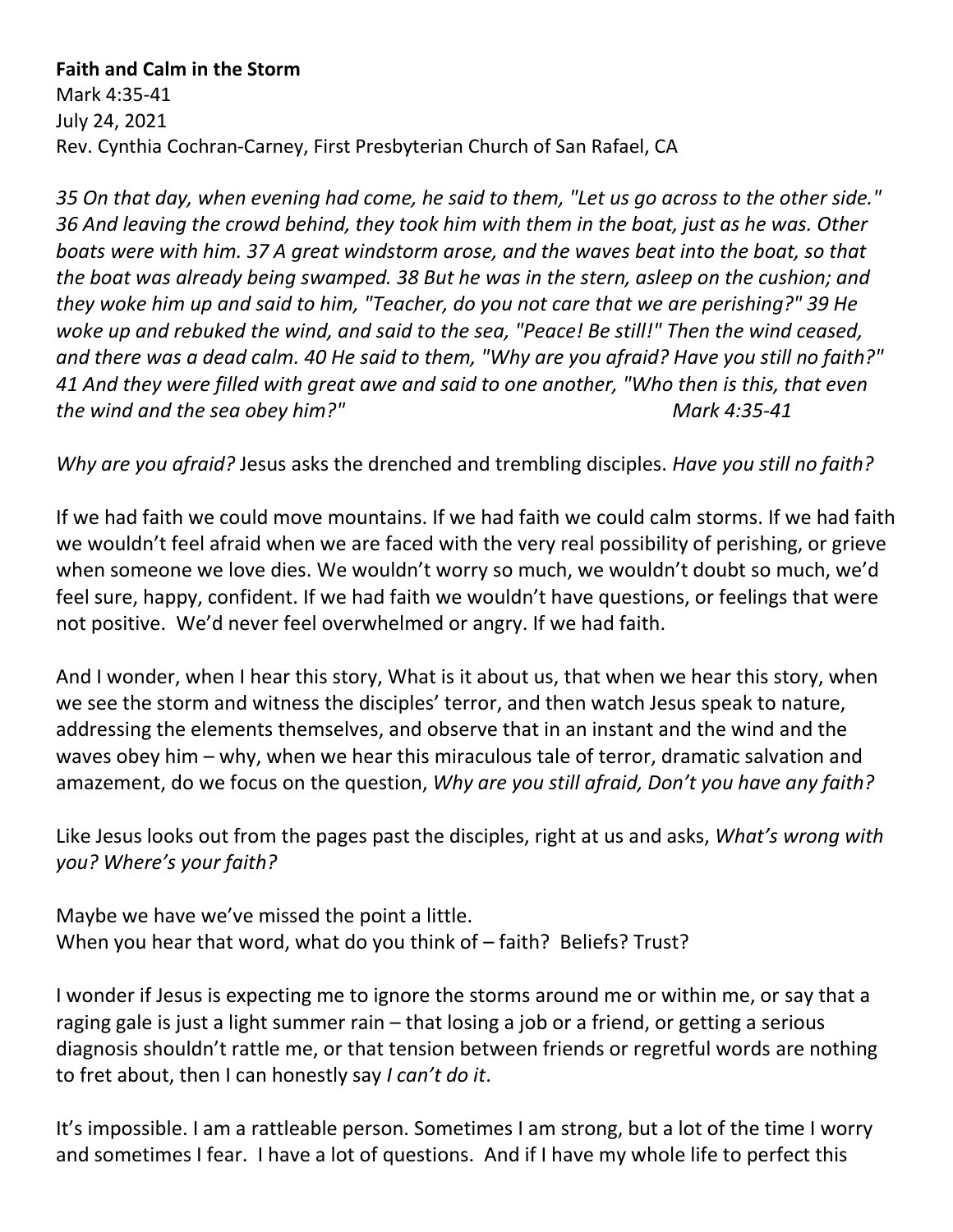## **Faith and Calm in the Storm**

Mark 4:35-41 July 24, 2021 Rev. Cynthia Cochran-Carney, First Presbyterian Church of San Rafael, CA

*35 On that day, when evening had come, he said to them, "Let us go across to the other side." 36 And leaving the crowd behind, they took him with them in the boat, just as he was. Other boats were with him. 37 A great windstorm arose, and the waves beat into the boat, so that the boat was already being swamped. 38 But he was in the stern, asleep on the cushion; and they woke him up and said to him, "Teacher, do you not care that we are perishing?" 39 He woke up and rebuked the wind, and said to the sea, "Peace! Be still!" Then the wind ceased, and there was a dead calm. 40 He said to them, "Why are you afraid? Have you still no faith?" 41 And they were filled with great awe and said to one another, "Who then is this, that even the wind and the sea obey him?" Mark 4:35-41*

*Why are you afraid?* Jesus asks the drenched and trembling disciples. *Have you still no faith?*

If we had faith we could move mountains. If we had faith we could calm storms. If we had faith we wouldn't feel afraid when we are faced with the very real possibility of perishing, or grieve when someone we love dies. We wouldn't worry so much, we wouldn't doubt so much, we'd feel sure, happy, confident. If we had faith we wouldn't have questions, or feelings that were not positive. We'd never feel overwhelmed or angry. If we had faith.

And I wonder, when I hear this story, What is it about us, that when we hear this story, when we see the storm and witness the disciples' terror, and then watch Jesus speak to nature, addressing the elements themselves, and observe that in an instant and the wind and the waves obey him – why, when we hear this miraculous tale of terror, dramatic salvation and amazement, do we focus on the question, *Why are you still afraid, Don't you have any faith?*

Like Jesus looks out from the pages past the disciples, right at us and asks, *What's wrong with you? Where's your faith?*

Maybe we have we've missed the point a little. When you hear that word, what do you think of – faith? Beliefs? Trust?

I wonder if Jesus is expecting me to ignore the storms around me or within me, or say that a raging gale is just a light summer rain – that losing a job or a friend, or getting a serious diagnosis shouldn't rattle me, or that tension between friends or regretful words are nothing to fret about, then I can honestly say *I can't do it*.

It's impossible. I am a rattleable person. Sometimes I am strong, but a lot of the time I worry and sometimes I fear. I have a lot of questions. And if I have my whole life to perfect this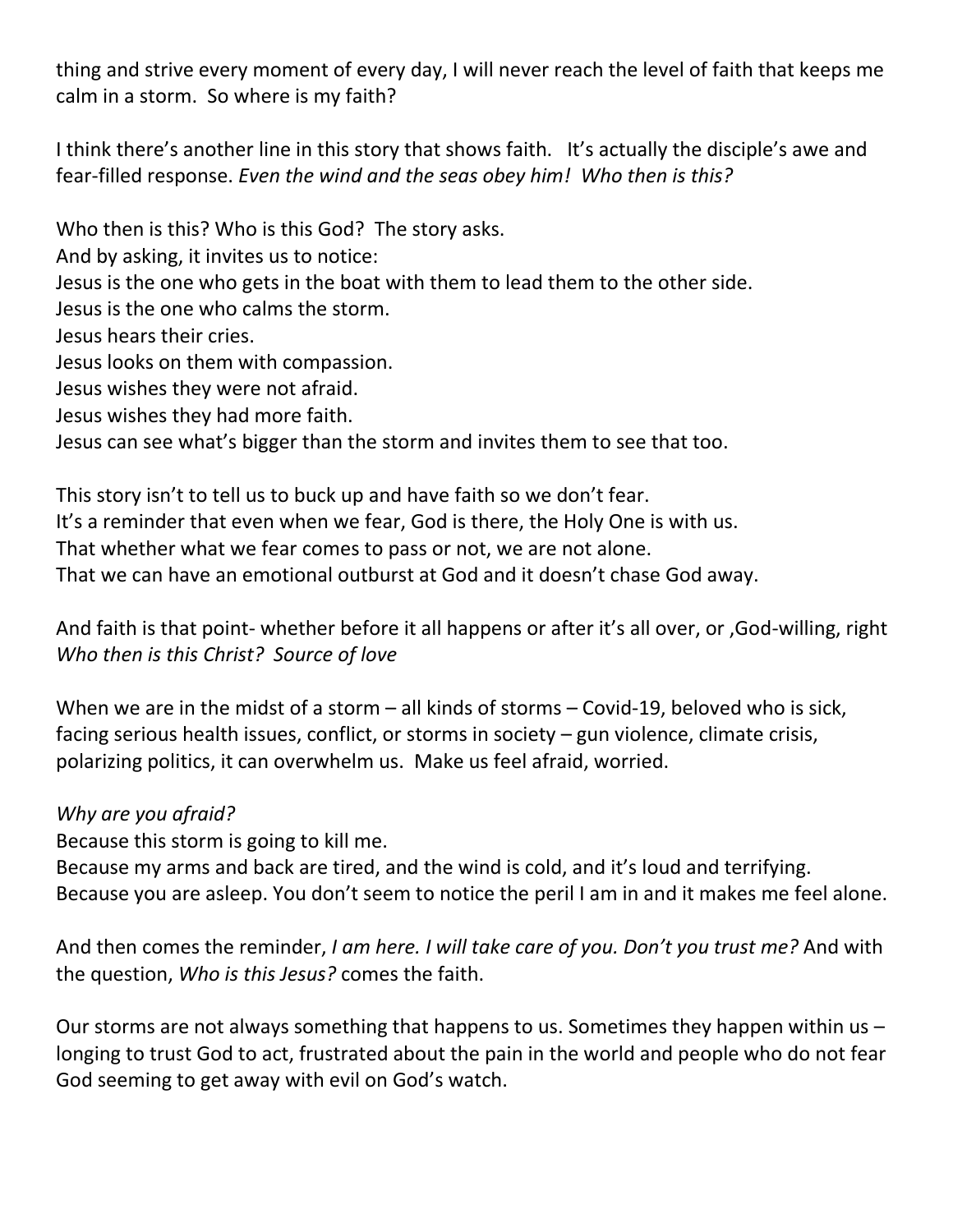thing and strive every moment of every day, I will never reach the level of faith that keeps me calm in a storm. So where is my faith?

I think there's another line in this story that shows faith. It's actually the disciple's awe and fear-filled response. *Even the wind and the seas obey him! Who then is this?*

Who then is this? Who is this God? The story asks.

And by asking, it invites us to notice:

Jesus is the one who gets in the boat with them to lead them to the other side.

Jesus is the one who calms the storm.

Jesus hears their cries.

Jesus looks on them with compassion.

Jesus wishes they were not afraid.

Jesus wishes they had more faith.

Jesus can see what's bigger than the storm and invites them to see that too.

This story isn't to tell us to buck up and have faith so we don't fear. It's a reminder that even when we fear, God is there, the Holy One is with us. That whether what we fear comes to pass or not, we are not alone. That we can have an emotional outburst at God and it doesn't chase God away.

And faith is that point- whether before it all happens or after it's all over, or ,God-willing, right *Who then is this Christ? Source of love*

When we are in the midst of a storm – all kinds of storms – Covid-19, beloved who is sick, facing serious health issues, conflict, or storms in society – gun violence, climate crisis, polarizing politics, it can overwhelm us. Make us feel afraid, worried.

## *Why are you afraid?*

Because this storm is going to kill me.

Because my arms and back are tired, and the wind is cold, and it's loud and terrifying. Because you are asleep. You don't seem to notice the peril I am in and it makes me feel alone.

And then comes the reminder, *I am here. I will take care of you. Don't you trust me?* And with the question, *Who is this Jesus?* comes the faith.

Our storms are not always something that happens to us. Sometimes they happen within us  $$ longing to trust God to act, frustrated about the pain in the world and people who do not fear God seeming to get away with evil on God's watch.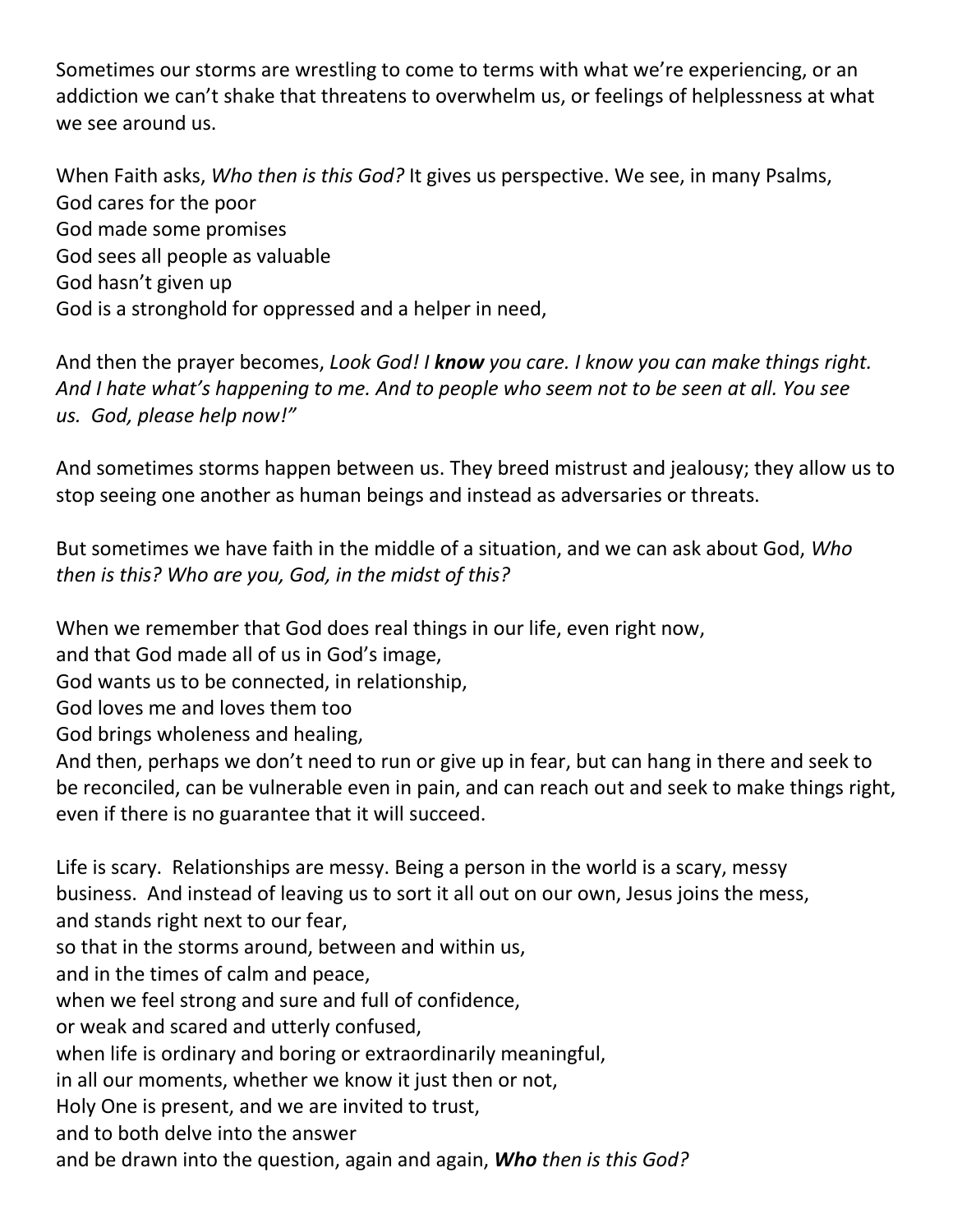Sometimes our storms are wrestling to come to terms with what we're experiencing, or an addiction we can't shake that threatens to overwhelm us, or feelings of helplessness at what we see around us.

When Faith asks, *Who then is this God?* It gives us perspective. We see, in many Psalms, God cares for the poor God made some promises God sees all people as valuable God hasn't given up God is a stronghold for oppressed and a helper in need,

And then the prayer becomes, *Look God! I know you care. I know you can make things right. And I hate what's happening to me. And to people who seem not to be seen at all. You see us. God, please help now!"*

And sometimes storms happen between us. They breed mistrust and jealousy; they allow us to stop seeing one another as human beings and instead as adversaries or threats.

But sometimes we have faith in the middle of a situation, and we can ask about God, *Who then is this? Who are you, God, in the midst of this?*

When we remember that God does real things in our life, even right now,

and that God made all of us in God's image,

God wants us to be connected, in relationship,

God loves me and loves them too

God brings wholeness and healing,

And then, perhaps we don't need to run or give up in fear, but can hang in there and seek to be reconciled, can be vulnerable even in pain, and can reach out and seek to make things right, even if there is no guarantee that it will succeed.

Life is scary. Relationships are messy. Being a person in the world is a scary, messy business. And instead of leaving us to sort it all out on our own, Jesus joins the mess, and stands right next to our fear,

so that in the storms around, between and within us,

and in the times of calm and peace,

when we feel strong and sure and full of confidence,

or weak and scared and utterly confused,

when life is ordinary and boring or extraordinarily meaningful,

in all our moments, whether we know it just then or not,

Holy One is present, and we are invited to trust,

and to both delve into the answer

and be drawn into the question, again and again, *Who then is this God?*